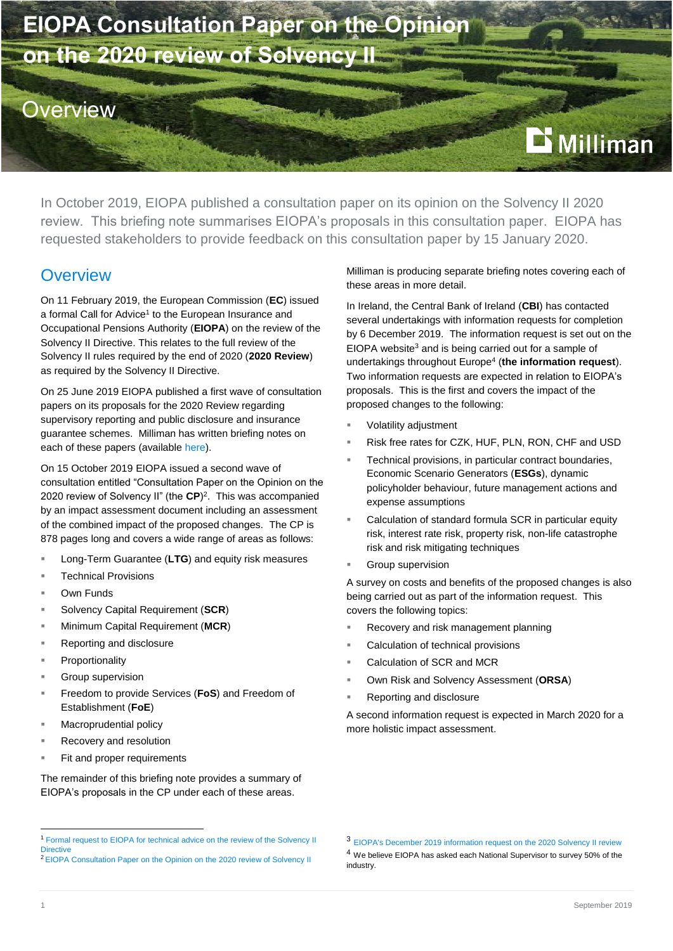

In October 2019, EIOPA published a consultation paper on its opinion on the Solvency II 2020 review. This briefing note summarises EIOPA's proposals in this consultation paper. EIOPA has requested stakeholders to provide feedback on this consultation paper by 15 January 2020.

### **Overview**

On 11 February 2019, the European Commission (**EC**) issued a formal Call for Advice<sup>1</sup> to the European Insurance and Occupational Pensions Authority (**EIOPA**) on the review of the Solvency II Directive. This relates to the full review of the Solvency II rules required by the end of 2020 (**2020 Review**) as required by the Solvency II Directive.

On 25 June 2019 EIOPA published a first wave of consultation papers on its proposals for the 2020 Review regarding supervisory reporting and public disclosure and insurance guarantee schemes. Milliman has written briefing notes on each of these papers (availabl[e here\)](http://ie.milliman.com/insight/landing-pages/topic/Solvency-II/).

On 15 October 2019 EIOPA issued a second wave of consultation entitled "Consultation Paper on the Opinion on the 2020 review of Solvency II" (the **CP**) 2 . This was accompanied by an impact assessment document including an assessment of the combined impact of the proposed changes. The CP is 878 pages long and covers a wide range of areas as follows:

- Long-Term Guarantee (**LTG**) and equity risk measures
- Technical Provisions
- Own Funds
- Solvency Capital Requirement (**SCR**)
- Minimum Capital Requirement (**MCR**)
- Reporting and disclosure
- Proportionality
- Group supervision
- Freedom to provide Services (**FoS**) and Freedom of Establishment (**FoE**)
- Macroprudential policy
- Recovery and resolution
- Fit and proper requirements

The remainder of this briefing note provides a summary of EIOPA's proposals in the CP under each of these areas.

### Milliman is producing separate briefing notes covering each of these areas in more detail.

In Ireland, the Central Bank of Ireland (**CBI**) has contacted several undertakings with information requests for completion by 6 December 2019. The information request is set out on the EIOPA website<sup>3</sup> and is being carried out for a sample of undertakings throughout Europe<sup>4</sup> (**the information request**). Two information requests are expected in relation to EIOPA's proposals. This is the first and covers the impact of the proposed changes to the following:

- Volatility adjustment
- Risk free rates for CZK, HUF, PLN, RON, CHF and USD
- Technical provisions, in particular contract boundaries, Economic Scenario Generators (**ESGs**), dynamic policyholder behaviour, future management actions and expense assumptions
- Calculation of standard formula SCR in particular equity risk, interest rate risk, property risk, non-life catastrophe risk and risk mitigating techniques
- Group supervision

A survey on costs and benefits of the proposed changes is also being carried out as part of the information request. This covers the following topics:

- Recovery and risk management planning
- Calculation of technical provisions
- Calculation of SCR and MCR
- Own Risk and Solvency Assessment (**ORSA**)
- Reporting and disclosure

A second information request is expected in March 2020 for a more holistic impact assessment.

-

<sup>1</sup> [Formal request to EIOPA for technical advice on the review of the Solvency II](https://ec.europa.eu/info/sites/info/files/business_economy_euro/banking_and_finance/documents/190211-request-eiopa-technical-advice-review-solvency-2.pdf)  **[Directive](https://ec.europa.eu/info/sites/info/files/business_economy_euro/banking_and_finance/documents/190211-request-eiopa-technical-advice-review-solvency-2.pdf)** 

<sup>2</sup> [EIOPA Consultation Paper on the Opinion on the 2020 review of Solvency II](https://eiopa.europa.eu/Pages/Consultation-Paper-on-the-Opinion-on-the-2020-review-of-Solvency-II.aspx)

<sup>3</sup> [EIOPA's December 2019 information request on the 2020 Solvency II review](https://eiopa.europa.eu/Pages/2020-Review-of-Solvency-II.aspx)

<sup>4</sup> We believe EIOPA has asked each National Supervisor to survey 50% of the industry.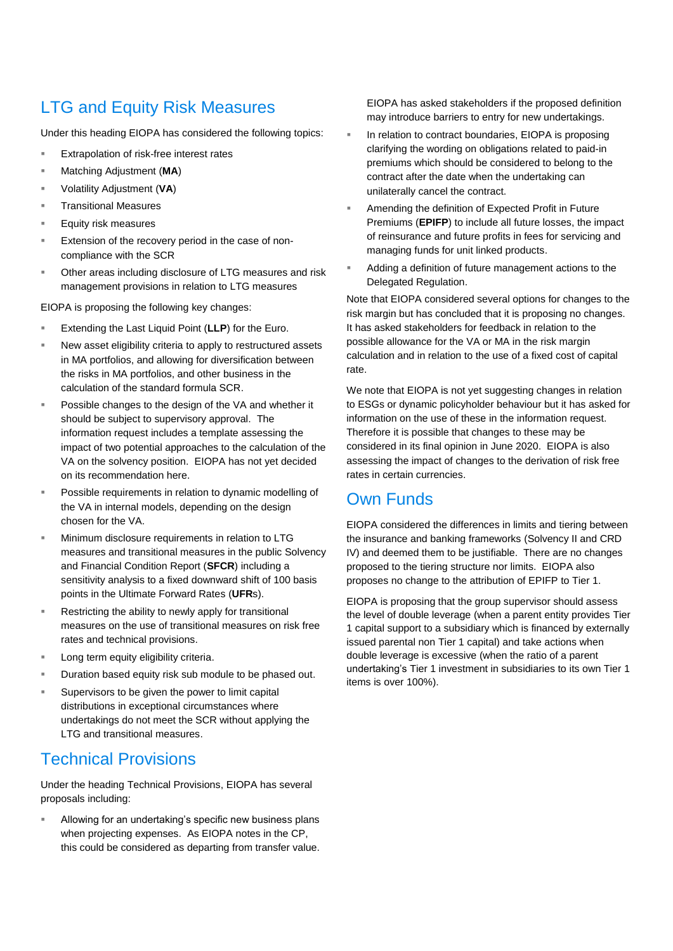## LTG and Equity Risk Measures

Under this heading EIOPA has considered the following topics:

- Extrapolation of risk-free interest rates
- Matching Adjustment (**MA**)
- Volatility Adjustment (**VA**)
- Transitional Measures
- Equity risk measures
- Extension of the recovery period in the case of noncompliance with the SCR
- Other areas including disclosure of LTG measures and risk management provisions in relation to LTG measures

EIOPA is proposing the following key changes:

- Extending the Last Liquid Point (**LLP**) for the Euro.
- New asset eligibility criteria to apply to restructured assets in MA portfolios, and allowing for diversification between the risks in MA portfolios, and other business in the calculation of the standard formula SCR.
- Possible changes to the design of the VA and whether it should be subject to supervisory approval. The information request includes a template assessing the impact of two potential approaches to the calculation of the VA on the solvency position. EIOPA has not yet decided on its recommendation here.
- Possible requirements in relation to dynamic modelling of the VA in internal models, depending on the design chosen for the VA.
- Minimum disclosure requirements in relation to LTG measures and transitional measures in the public Solvency and Financial Condition Report (**SFCR**) including a sensitivity analysis to a fixed downward shift of 100 basis points in the Ultimate Forward Rates (**UFR**s).
- Restricting the ability to newly apply for transitional measures on the use of transitional measures on risk free rates and technical provisions.
- Long term equity eligibility criteria.
- Duration based equity risk sub module to be phased out.
- Supervisors to be given the power to limit capital distributions in exceptional circumstances where undertakings do not meet the SCR without applying the LTG and transitional measures.

### Technical Provisions

Under the heading Technical Provisions, EIOPA has several proposals including:

 Allowing for an undertaking's specific new business plans when projecting expenses. As EIOPA notes in the CP, this could be considered as departing from transfer value. EIOPA has asked stakeholders if the proposed definition may introduce barriers to entry for new undertakings.

- In relation to contract boundaries, EIOPA is proposing clarifying the wording on obligations related to paid-in premiums which should be considered to belong to the contract after the date when the undertaking can unilaterally cancel the contract.
- Amending the definition of Expected Profit in Future Premiums (**EPIFP**) to include all future losses, the impact of reinsurance and future profits in fees for servicing and managing funds for unit linked products.
- Adding a definition of future management actions to the Delegated Regulation.

Note that EIOPA considered several options for changes to the risk margin but has concluded that it is proposing no changes. It has asked stakeholders for feedback in relation to the possible allowance for the VA or MA in the risk margin calculation and in relation to the use of a fixed cost of capital rate.

We note that EIOPA is not yet suggesting changes in relation to ESGs or dynamic policyholder behaviour but it has asked for information on the use of these in the information request. Therefore it is possible that changes to these may be considered in its final opinion in June 2020. EIOPA is also assessing the impact of changes to the derivation of risk free rates in certain currencies.

## Own Funds

EIOPA considered the differences in limits and tiering between the insurance and banking frameworks (Solvency II and CRD IV) and deemed them to be justifiable. There are no changes proposed to the tiering structure nor limits. EIOPA also proposes no change to the attribution of EPIFP to Tier 1.

EIOPA is proposing that the group supervisor should assess the level of double leverage (when a parent entity provides Tier 1 capital support to a subsidiary which is financed by externally issued parental non Tier 1 capital) and take actions when double leverage is excessive (when the ratio of a parent undertaking's Tier 1 investment in subsidiaries to its own Tier 1 items is over 100%).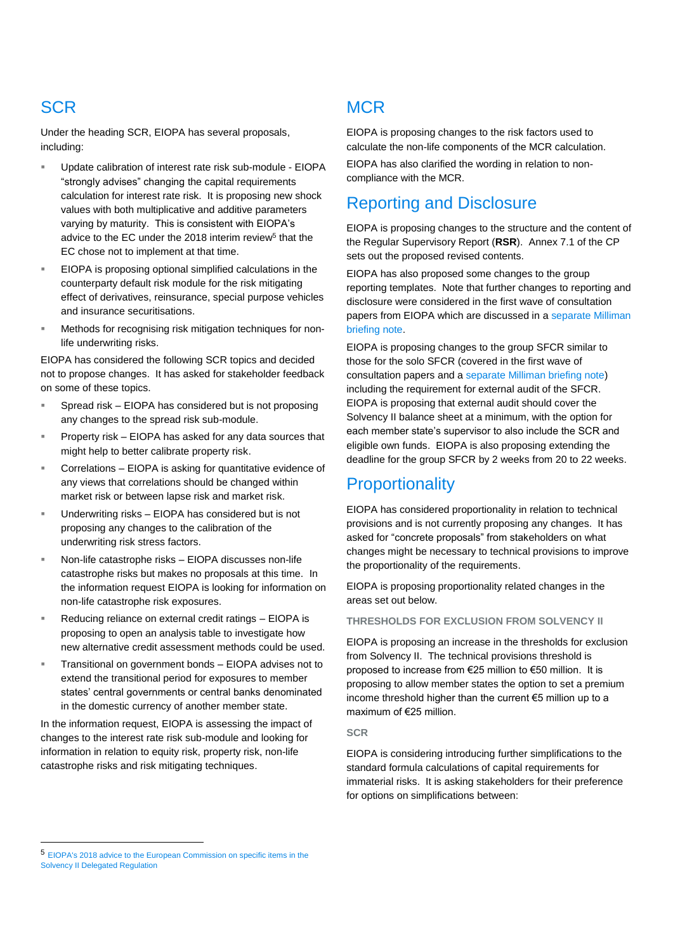# **SCR**

Under the heading SCR, EIOPA has several proposals, including:

- Update calibration of interest rate risk sub-module EIOPA "strongly advises" changing the capital requirements calculation for interest rate risk. It is proposing new shock values with both multiplicative and additive parameters varying by maturity. This is consistent with EIOPA's advice to the EC under the 2018 interim review<sup>5</sup> that the EC chose not to implement at that time.
- EIOPA is proposing optional simplified calculations in the counterparty default risk module for the risk mitigating effect of derivatives, reinsurance, special purpose vehicles and insurance securitisations.
- Methods for recognising risk mitigation techniques for nonlife underwriting risks.

EIOPA has considered the following SCR topics and decided not to propose changes. It has asked for stakeholder feedback on some of these topics.

- Spread risk EIOPA has considered but is not proposing any changes to the spread risk sub-module.
- Property risk EIOPA has asked for any data sources that might help to better calibrate property risk.
- Correlations EIOPA is asking for quantitative evidence of any views that correlations should be changed within market risk or between lapse risk and market risk.
- Underwriting risks EIOPA has considered but is not proposing any changes to the calibration of the underwriting risk stress factors.
- Non-life catastrophe risks EIOPA discusses non-life catastrophe risks but makes no proposals at this time. In the information request EIOPA is looking for information on non-life catastrophe risk exposures.
- Reducing reliance on external credit ratings EIOPA is proposing to open an analysis table to investigate how new alternative credit assessment methods could be used.
- Transitional on government bonds EIOPA advises not to extend the transitional period for exposures to member states' central governments or central banks denominated in the domestic currency of another member state.

In the information request, EIOPA is assessing the impact of changes to the interest rate risk sub-module and looking for information in relation to equity risk, property risk, non-life catastrophe risks and risk mitigating techniques.

# **MCR**

EIOPA is proposing changes to the risk factors used to calculate the non-life components of the MCR calculation.

EIOPA has also clarified the wording in relation to noncompliance with the MCR.

# Reporting and Disclosure

EIOPA is proposing changes to the structure and the content of the Regular Supervisory Report (**RSR**). Annex 7.1 of the CP sets out the proposed revised contents.

EIOPA has also proposed some changes to the group reporting templates. Note that further changes to reporting and disclosure were considered in the first wave of consultation papers from EIOPA which are discussed in [a separate Milliman](http://ie.milliman.com/insight/2019/EIOPA-paper-on-proposals-for-Solvency-II-2020-review-Package-on-Supervisory-Reporting-and-Public--Disclosure-–-Quantitative-Reporting-Templates/)  [briefing note.](http://ie.milliman.com/insight/2019/EIOPA-paper-on-proposals-for-Solvency-II-2020-review-Package-on-Supervisory-Reporting-and-Public--Disclosure-–-Quantitative-Reporting-Templates/)

EIOPA is proposing changes to the group SFCR similar to those for the solo SFCR (covered in the first wave of consultation papers and a [separate Milliman briefing note\)](http://ie.milliman.com/insight/2019/EIOPA-Paper-on-proposals-for-Solvency-II-2020-review-Package-on-Supervisory-Reporting-and-Public-Disclosure-–-Solvency-and-Financial-Condition-Report/) including the requirement for external audit of the SFCR. EIOPA is proposing that external audit should cover the Solvency II balance sheet at a minimum, with the option for each member state's supervisor to also include the SCR and eligible own funds. EIOPA is also proposing extending the deadline for the group SFCR by 2 weeks from 20 to 22 weeks.

## **Proportionality**

EIOPA has considered proportionality in relation to technical provisions and is not currently proposing any changes. It has asked for "concrete proposals" from stakeholders on what changes might be necessary to technical provisions to improve the proportionality of the requirements.

EIOPA is proposing proportionality related changes in the areas set out below.

### **THRESHOLDS FOR EXCLUSION FROM SOLVENCY II**

EIOPA is proposing an increase in the thresholds for exclusion from Solvency II. The technical provisions threshold is proposed to increase from €25 million to €50 million. It is proposing to allow member states the option to set a premium income threshold higher than the current €5 million up to a maximum of €25 million.

#### **SCR**

EIOPA is considering introducing further simplifications to the standard formula calculations of capital requirements for immaterial risks. It is asking stakeholders for their preference for options on simplifications between:

-

<sup>5</sup> [EIOPA's 2018 advice to the European Commission on specific items in the](https://eiopa.europa.eu/Pages/Consultations/EIOPA-CP-17-006-Consultation-paper.aspx)  [Solvency II Delegated Regulation](https://eiopa.europa.eu/Pages/Consultations/EIOPA-CP-17-006-Consultation-paper.aspx)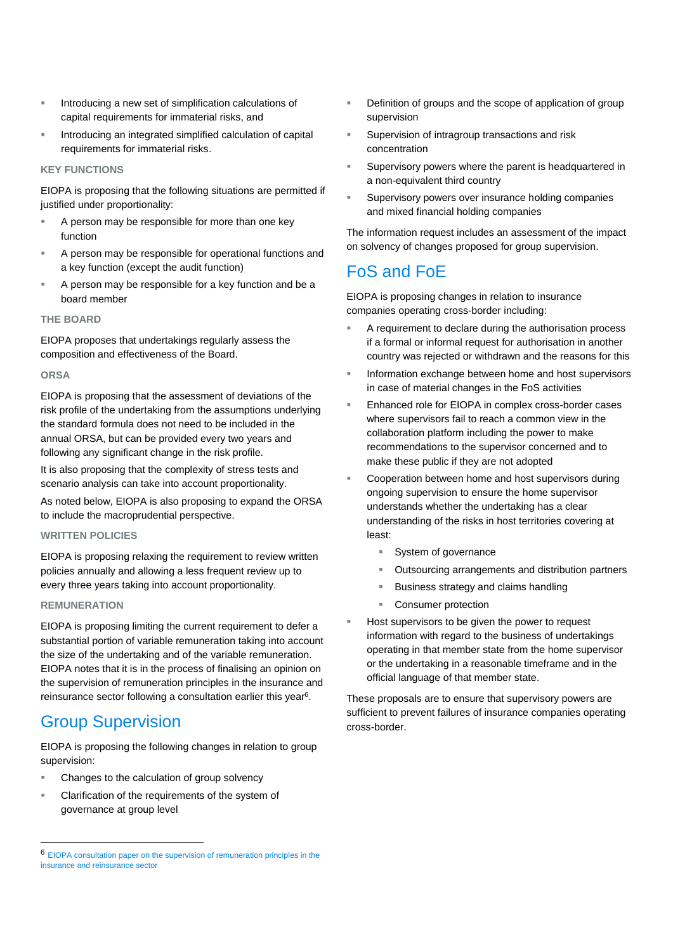- Introducing a new set of simplification calculations of capital requirements for immaterial risks, and
- Introducing an integrated simplified calculation of capital requirements for immaterial risks.

#### **KEY FUNCTIONS**

EIOPA is proposing that the following situations are permitted if justified under proportionality:

- A person may be responsible for more than one key function
- A person may be responsible for operational functions and a key function (except the audit function)
- A person may be responsible for a key function and be a board member

### **THE BOARD**

EIOPA proposes that undertakings regularly assess the composition and effectiveness of the Board.

#### **ORSA**

EIOPA is proposing that the assessment of deviations of the risk profile of the undertaking from the assumptions underlying the standard formula does not need to be included in the annual ORSA, but can be provided every two years and following any significant change in the risk profile.

It is also proposing that the complexity of stress tests and scenario analysis can take into account proportionality.

As noted below, EIOPA is also proposing to expand the ORSA to include the macroprudential perspective.

### **WRITTEN POLICIES**

EIOPA is proposing relaxing the requirement to review written policies annually and allowing a less frequent review up to every three years taking into account proportionality.

#### **REMUNERATION**

-

EIOPA is proposing limiting the current requirement to defer a substantial portion of variable remuneration taking into account the size of the undertaking and of the variable remuneration. EIOPA notes that it is in the process of finalising an opinion on the supervision of remuneration principles in the insurance and reinsurance sector following a consultation earlier this year<sup>6</sup>.

### Group Supervision

EIOPA is proposing the following changes in relation to group supervision:

- Changes to the calculation of group solvency
- Clarification of the requirements of the system of governance at group level
- Definition of groups and the scope of application of group supervision
- Supervision of intragroup transactions and risk concentration
- Supervisory powers where the parent is headquartered in a non-equivalent third country
- Supervisory powers over insurance holding companies and mixed financial holding companies

The information request includes an assessment of the impact on solvency of changes proposed for group supervision.

## FoS and FoE

EIOPA is proposing changes in relation to insurance companies operating cross-border including:

- A requirement to declare during the authorisation process if a formal or informal request for authorisation in another country was rejected or withdrawn and the reasons for this
- Information exchange between home and host supervisors in case of material changes in the FoS activities
- Enhanced role for EIOPA in complex cross-border cases where supervisors fail to reach a common view in the collaboration platform including the power to make recommendations to the supervisor concerned and to make these public if they are not adopted
- Cooperation between home and host supervisors during ongoing supervision to ensure the home supervisor understands whether the undertaking has a clear understanding of the risks in host territories covering at least:
	- **System of governance**
	- Outsourcing arrangements and distribution partners
	- Business strategy and claims handling
	- Consumer protection
- Host supervisors to be given the power to request information with regard to the business of undertakings operating in that member state from the home supervisor or the undertaking in a reasonable timeframe and in the official language of that member state.

These proposals are to ensure that supervisory powers are sufficient to prevent failures of insurance companies operating cross-border.

<sup>6</sup> [EIOPA consultation paper on the supervision of remuneration principles in the](https://eiopa.europa.eu/Pages/News/Consultation-Paper-on-draft-Opinion-on-the-supervision-of-remuneration-principles-in-the-insurance-and-reinsurance-sector.aspx)  [insurance and reinsurance sector](https://eiopa.europa.eu/Pages/News/Consultation-Paper-on-draft-Opinion-on-the-supervision-of-remuneration-principles-in-the-insurance-and-reinsurance-sector.aspx)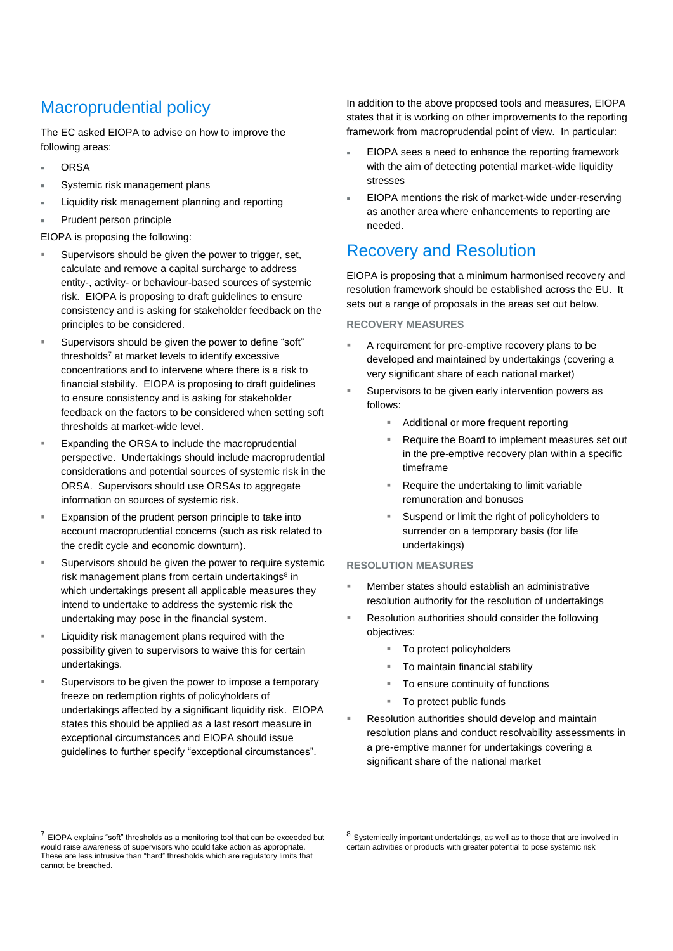# Macroprudential policy

The EC asked EIOPA to advise on how to improve the following areas:

- **ORSA**
- Systemic risk management plans
- Liquidity risk management planning and reporting
- Prudent person principle

EIOPA is proposing the following:

- Supervisors should be given the power to trigger, set, calculate and remove a capital surcharge to address entity-, activity- or behaviour-based sources of systemic risk. EIOPA is proposing to draft guidelines to ensure consistency and is asking for stakeholder feedback on the principles to be considered.
- Supervisors should be given the power to define "soft" thresholds $<sup>7</sup>$  at market levels to identify excessive</sup> concentrations and to intervene where there is a risk to financial stability. EIOPA is proposing to draft guidelines to ensure consistency and is asking for stakeholder feedback on the factors to be considered when setting soft thresholds at market-wide level.
- Expanding the ORSA to include the macroprudential perspective. Undertakings should include macroprudential considerations and potential sources of systemic risk in the ORSA. Supervisors should use ORSAs to aggregate information on sources of systemic risk.
- Expansion of the prudent person principle to take into account macroprudential concerns (such as risk related to the credit cycle and economic downturn).
- Supervisors should be given the power to require systemic risk management plans from certain undertakings<sup>8</sup> in which undertakings present all applicable measures they intend to undertake to address the systemic risk the undertaking may pose in the financial system.
- Liquidity risk management plans required with the possibility given to supervisors to waive this for certain undertakings.
- Supervisors to be given the power to impose a temporary freeze on redemption rights of policyholders of undertakings affected by a significant liquidity risk. EIOPA states this should be applied as a last resort measure in exceptional circumstances and EIOPA should issue guidelines to further specify "exceptional circumstances".

In addition to the above proposed tools and measures, EIOPA states that it is working on other improvements to the reporting framework from macroprudential point of view. In particular:

- EIOPA sees a need to enhance the reporting framework with the aim of detecting potential market-wide liquidity stresses
- EIOPA mentions the risk of market-wide under-reserving as another area where enhancements to reporting are needed.

### Recovery and Resolution

EIOPA is proposing that a minimum harmonised recovery and resolution framework should be established across the EU. It sets out a range of proposals in the areas set out below.

### **RECOVERY MEASURES**

- A requirement for pre-emptive recovery plans to be developed and maintained by undertakings (covering a very significant share of each national market)
- Supervisors to be given early intervention powers as follows:
	- Additional or more frequent reporting
	- Require the Board to implement measures set out in the pre-emptive recovery plan within a specific timeframe
	- Require the undertaking to limit variable remuneration and bonuses
	- Suspend or limit the right of policyholders to surrender on a temporary basis (for life undertakings)

### **RESOLUTION MEASURES**

- Member states should establish an administrative resolution authority for the resolution of undertakings
- Resolution authorities should consider the following objectives:
	- To protect policyholders
	- To maintain financial stability
	- To ensure continuity of functions
	- To protect public funds
- Resolution authorities should develop and maintain resolution plans and conduct resolvability assessments in a pre-emptive manner for undertakings covering a significant share of the national market

-

 $7$  EIOPA explains "soft" thresholds as a monitoring tool that can be exceeded but would raise awareness of supervisors who could take action as appropriate. These are less intrusive than "hard" thresholds which are regulatory limits that cannot be breached.

<sup>8</sup> Systemically important undertakings, as well as to those that are involved in certain activities or products with greater potential to pose systemic risk